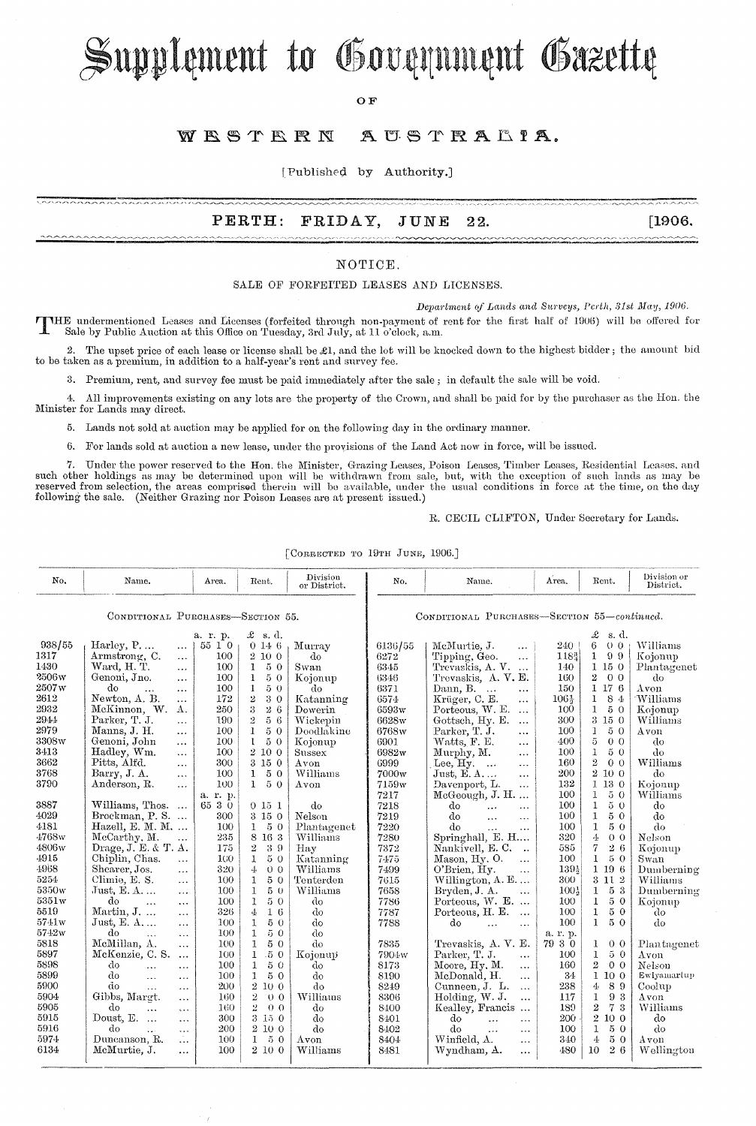# Supplement to Government Gazette

OF

#### WESTERN AUSTRALIA.

[Published by Authority.]

### PERTH: FRIDAY, JUNE 22. [1906.

### NOTICE.

#### SALE OF FORFEITED LEASES AND LICENSES.

*Department of Lands and Surveys, Perth, 31st May, 1906.* 

THE undermentioned Leases and Licenses (forfeited through non-payment of rent for the first half of 1906) will be offered for Sale by Public Auction at this Office on Tuesday, 3rd July, at 11 o'clock, a.m.

2. The upset price of each lease or license shall be  $\mathcal{L}1$ , and the lot will be knocked down to the highest bidder; the amount bid to be taken as a premium, in addition to a half-year's rent and survey fee.

3. Premium, rent, and survey fee must be paid immediately after the sale; in default the sale will be void.

4. All improvements existing on any lots are the property of the Crown, and shall be paid for by the purchaser as the Hon. the Minister for Lands may direct.

5. Lands not sold at auction may be applied for on the following day in the ordinary manner.

6. For lands sold at auction a new lease, under the provisions of the Land Act now in force, will be issued.

Under the power reserved to the Hon. the Minister, Grazing Leases, Poison Leases, Timber Leases, Residential Leases, and such other holdings as may be determined upon will be withdrawn from sale, but, with the exception of such lands as may be<br>reserved from selection, the areas comprised therein will be available, under the usual conditions following the sale. (Neither Grazing nor Poison Leases are at present issued.)

R. CECIL CLIFTON, Under Secretary for Lands.

| No.                               | Name.                                  | Area.    | Rent.                            | Division<br>or District. | No.                                         | Name.                        | Area.            | Rent.                            | Division or<br>District. |
|-----------------------------------|----------------------------------------|----------|----------------------------------|--------------------------|---------------------------------------------|------------------------------|------------------|----------------------------------|--------------------------|
| CONDITIONAL PURCHASES-SECTION 55. |                                        |          |                                  |                          | CONDITIONAL PURCHASES-SECTION 55-continued. |                              |                  |                                  |                          |
|                                   |                                        | a. r. p. | $\mathcal{L}$ s.d.               |                          |                                             |                              |                  | £<br>s.d.                        |                          |
| 938/55                            | Harley, P<br>$\cdots$                  | 55 1 0   | 0146                             | Murray                   | 6136/55                                     | McMurtie, J.<br>$\cdots$     | $240^{\circ}$    | 6<br>0 <sub>0</sub>              | Williams                 |
| 1317                              | Armstrong, C.<br>$\ddotsc$             | 100      | 2 10 0                           | do                       | 6272                                        | Tipping, Geo.<br>$\ddotsc$   | $118_{4}^{3}$    | $\mathbf{1}$<br>99               | Kojonup                  |
| 1430                              | Ward, H. T.<br>$\cdots$                | 100      | 50<br>$\mathbf{1}$               | Swan                     | 6345                                        | Trevaskis, A.V.              | 140              | 1150                             | Plantagenet              |
| 2506w                             | Genoni, Jno.<br>$\cdots$               | 100      | $5\,$ $0\,$<br>$\mathbf{1}$      | Kojonup                  | 6346                                        | Trevaskis, A. V. E.          | 160              | $\overline{2}$<br>0 <sub>0</sub> | d <sub>o</sub>           |
| 2507w                             | do<br>$\ddotsc$<br>$\cdots$            | 100      | 50<br>1                          | do                       | 6371                                        | Dann, B.<br>$\ddotsc$        | 150              | 1176                             | Avon                     |
| 2612                              | Newton, A. B.<br>$\cdots$              | 172      | $\overline{2}$<br>30             | Katanning                | 6574                                        | Krüger, C. E.<br>$\ddotsc$   | 106%             | $\mathbf{1}$<br>84               | Williams                 |
| 2932                              | McKinnon, W.<br>Α.                     | 250      | 3<br>26                          | Dowerin                  | 6593w                                       | Porteous, W. E.<br>$\cdots$  | 100              | $\mathbf{I}$<br>50               | Kojonup                  |
| 2944                              | Parker, T. J.<br>$\cdots$              | 190      | $\bar{2}$<br>56                  | Wickepin                 | 6628w                                       | Gottsch, Hy. E.<br>$\cdots$  | 300              | $3\,15\,0$                       | Williams                 |
| 2979                              | Manns, J. H.<br>$\cdots$               | 100      | $\mathbf{1}$<br>$5\,$ $0\,$      | Doodlakine               | 6768w                                       | Parker, T. J.<br>$\ddotsc$   | 100              | 50<br>1                          | Avon                     |
| 3308w                             | Genoni, John<br>$\cdots$               | 100      | 50<br>$\mathbf{1}$               | Kojonup                  | 6901                                        | Watts, F. E.<br>$\cdots$     | 400              | 5<br>0 <sub>0</sub>              | do                       |
| 3413                              | Hadley, Wm.<br>$\cdots$                | 100      | 2 10 0                           | Sussex                   | 6982w                                       | Murphy, M.<br>$\cdots$       | 100              | 50<br>1                          | do                       |
| 3662                              | Pitts, Alfd.<br>$\ldots$               | 300      | 3150                             | Avon                     | 6999                                        | Lee, $Hy$ .<br>$\cdots$      | 160              | $\overline{2}$<br>0 <sub>0</sub> | Williams                 |
| 3768                              | Barry, J. A.<br>$\ldots$               | 100      | 50<br>$\bf{1}$                   | Williams                 | 7000w                                       | Just, E. A<br>$\cdots$       | 200              | 2 10 0                           | do                       |
| 3790                              | Anderson, R.<br>$\cdots$               | 100      | $\mathbf{1}$<br>50               | Avon                     | 7159w                                       | Davenport, L.<br>$\cdots$    | 132              | 1 13 0                           | Kojonup                  |
|                                   |                                        | a. r. p. |                                  |                          | 7217                                        | McGeough, J. H.<br>$\cdots$  | 100              | 50<br>$\mathbf{1}$               | Williams                 |
| 3887                              | Williams, Thos.<br>$\ldots$            | 65 3 0   | 0151                             | do                       | 7218                                        | do<br>$\ddotsc$<br>$\ddotsc$ | 100              | $5\,$ $0\,$<br>$\mathbf{1}$      | do                       |
| 4029                              | Brockman, P. S.                        | 300      | 3 15 0                           | Nelson                   | 7219                                        | do<br>$\ddotsc$<br>$\ddots$  | 100              | 50<br>$\mathbf{1}$               | do                       |
| 4181                              | Hazell, E. M. M.                       | 100      | 50<br>$\mathbf{1}$               | Plantagenet              | 7220                                        | do<br>$\cdots$<br>$\ddotsc$  | 100              | 1<br>50                          | do                       |
| 4768w                             | McCarthy, M.<br>$\ddotsc$              | 235      | 8 16 3                           | Williams                 | 7280                                        | Springhall, E. H             | 320              | 4<br>0 <sub>0</sub>              | Nelson                   |
| 4806w                             | Drage, J. E. & T. A.                   | 175      | $\boldsymbol{2}$<br>39           | Hay                      | 7372                                        | Nankivell, E.C.<br>$\ddotsc$ | 585              | 7<br>26                          | Kojonup                  |
| 4915                              | Chiplin, Chas.<br>$\ddotsc$            | 100      | $\mathbf{1}$<br>$5\,$ $0\,$      | Katanning                | 7475                                        | Mason, Hy. O.<br>$\ddotsc$   | 100              | $\bf{1}$<br>5 0                  | Swan                     |
| 4968                              | Shearer, Jos.<br>$\ldots$              | 320      | 4<br>0 <sub>0</sub>              | Williams                 | 7499                                        | O'Brien, Hy.<br>$\ddotsc$    | 139}             | 1 19 6                           | Dumberning               |
| 5254                              | Climie, E. S.<br>$\cdots$              | 100      | 50<br>1                          | Tenterden                | 7615                                        | Willington, $A. E. \ldots$   | 300              | 3 11 2                           | Williams                 |
| 5350w                             | $Just, E. A. \ldots$<br>$\cdots$       | 100      | $\mathbf{1}$<br>50               | Williams                 | 7658                                        | Bryden, J. A.<br>$\ddotsc$   | $100\frac{1}{9}$ | 53<br>1                          | Dumberning               |
| 5351w                             | do<br>$\cdots$<br>$\cdots$             | 100      | 50<br>$\mathbf{1}$               | do                       | 7786                                        | Porteous, W. E.              | 100              | 1<br>50                          | Kojonup                  |
| 5519                              | Martin, J.<br>$\ddotsc$                | 326      | 16<br>4                          | do                       | 7787                                        | Porteous, H. E.<br>$\ldots$  | 100              | $5\,$ $0\,$<br>$\mathbf{1}$      | do                       |
| 5741w                             | Just, E. $A$<br>$\cdots$               | 100      | $5\,$ $0\,$<br>1                 | do                       | 7788                                        | do<br>$\ddotsc$<br>$\cdots$  | 100              | 5 0<br>$\mathbf{1}$              | do                       |
| 5742w                             | do<br>$\cdots$<br>$\ddotsc$            | 100      | $\mathbf{1}$<br>50               | do                       |                                             |                              | a. 1. p.         |                                  |                          |
| 5818                              | McMillan, A.<br>$\cdots$               | 100      | $\mathbf{1}$<br>50               | do                       | 7835                                        | Trevaskis, A.V. E.           | 79 3 0           | $\mathbf{1}$<br>0 <sub>0</sub>   | Plantagenet              |
| 5897                              | McKenzie, C. S.<br>$\cdots$            | 100      | $\mathbf{1}$<br>.50              | Kojonup                  | 7904w                                       | Parker, T. J.<br>$\cdots$    | 100              | $\mathbf{1}$<br>50               | Avon                     |
| 5898                              | do<br>$\ddotsc$<br>.                   | 100      | $\mathbf{1}$<br>50               | do                       | 8173                                        | Moore, Hy, M.<br>$\cdots$    | 160              | $\overline{2}$<br>0 <sub>0</sub> | Nelson                   |
| 5899                              | do<br>$\dddotsc$<br>$\cdots$           | 100      | $\mathbf{I}$<br>50               | do                       | 8190                                        | McDonald, H.<br>$\cdots$     | 34               | 1 10 0                           | Ewlyamartup              |
| 5900                              | do<br>$\ddot{\phantom{a}}$<br>$\cdots$ | 200      | 2100                             | do                       | 8249                                        | Cunneen, J. L.<br>$\cdots$   | 238              | 89<br>4                          | Coolup                   |
| 5904                              | Gibbs, Margt.<br>$\sim$ $\sim$ $\sim$  | 160      | $\overline{2}$<br>0 <sub>0</sub> | Williams                 | 8306                                        | Holding, W. J.<br>$\ddotsc$  | 117              | $\mathbf{1}$<br>93               | Avon                     |
| 5905                              | do<br>$\cdots$<br>$\ddotsc$            | 160      | 2<br>0 <sub>0</sub>              | do                       | 8400                                        | Kealley, Francis<br>$\sim$   | 189              | 2<br>73                          | Williams                 |
| 5915                              | Doust, E.<br>$\ddotsc$<br>$\cdots$     | 300      | 3 15 0                           | do                       | 8401                                        | do<br>$\ddotsc$<br>$\cdots$  | 200              | $2\ 10\ 0$                       | do                       |
| 5916                              | do<br>$\ddotsc$<br>$\cdots$            | 200      | $2\ 10\ 0$                       | do                       | 8402                                        | do<br>$\cdots$<br>$\cdots$   | 100              | $\mathbf{1}$<br>50               | do                       |
| 5974                              | Duncanson, R.<br>$\ldots$              | 100      | 50<br>1                          | Avon                     | 8404                                        | Winfield, A.<br>$\cdots$     | 340              | $\overline{4}$<br>50             | Avon                     |
| 6134                              | McMurtie, J.<br>.                      | 100      | 2 10 0                           | Williams                 | 8481                                        | Wyndham, A.<br>$\cdots$      | 480              | 10<br>26                         | Wellington               |

[CORRECTED TO 19TH JUNE, 1906.]